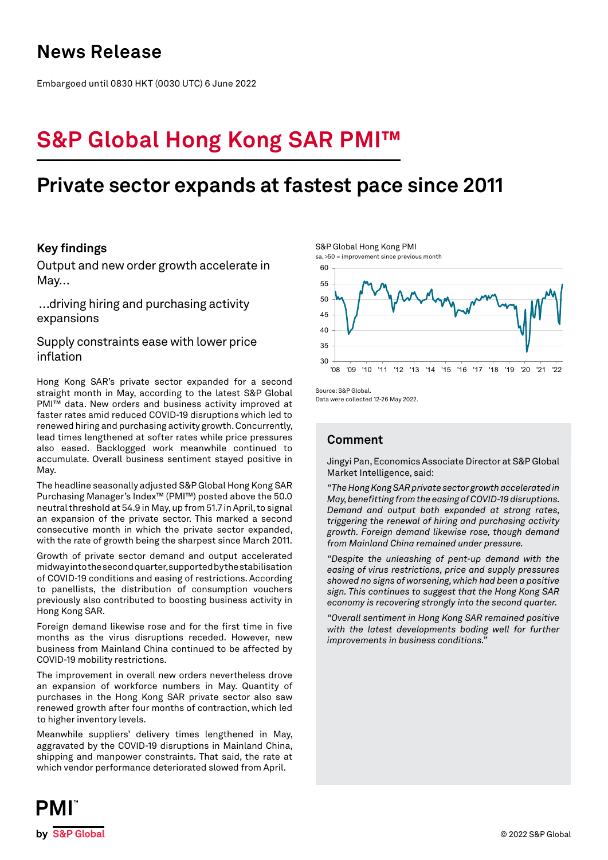## **News Release**

Embargoed until 0830 HKT (0030 UTC) 6 June 2022

# **S&P Global Hong Kong SAR PMI™**

## **Private sector expands at fastest pace since 2011**

## **Key findings**

Output and new order growth accelerate in May…

 …driving hiring and purchasing activity expansions

Supply constraints ease with lower price inflation

Hong Kong SAR's private sector expanded for a second straight month in May, according to the latest S&P Global PMI<sup>™</sup> data. New orders and business activity improved at faster rates amid reduced COVID-19 disruptions which led to renewed hiring and purchasing activity growth. Concurrently, lead times lengthened at softer rates while price pressures also eased. Backlogged work meanwhile continued to accumulate. Overall business sentiment stayed positive in May.

The headline seasonally adjusted S&P Global Hong Kong SAR Purchasing Manager's Index™ (PMI™) posted above the 50.0 neutral threshold at 54.9 in May, up from 51.7 in April, to signal an expansion of the private sector. This marked a second consecutive month in which the private sector expanded, with the rate of growth being the sharpest since March 2011.

Growth of private sector demand and output accelerated midway into the second quarter, supported by the stabilisation of COVID-19 conditions and easing of restrictions. According to panellists, the distribution of consumption vouchers previously also contributed to boosting business activity in Hong Kong SAR.

Foreign demand likewise rose and for the first time in five months as the virus disruptions receded. However, new business from Mainland China continued to be affected by COVID-19 mobility restrictions.

The improvement in overall new orders nevertheless drove an expansion of workforce numbers in May. Quantity of purchases in the Hong Kong SAR private sector also saw renewed growth after four months of contraction, which led to higher inventory levels.

Meanwhile suppliers' delivery times lengthened in May, aggravated by the COVID-19 disruptions in Mainland China, shipping and manpower constraints. That said, the rate at which vendor performance deteriorated slowed from April.



Source: S&P Global.

Data were collected 12-26 May 2022.

## **Comment**

Jingyi Pan, Economics Associate Director at S&P Global Market Intelligence, said:

*"The Hong Kong SAR private sector growth accelerated in May, benefitting from the easing of COVID-19 disruptions. Demand and output both expanded at strong rates, triggering the renewal of hiring and purchasing activity growth. Foreign demand likewise rose, though demand from Mainland China remained under pressure.* 

*"Despite the unleashing of pent-up demand with the easing of virus restrictions, price and supply pressures showed no signs of worsening, which had been a positive sign. This continues to suggest that the Hong Kong SAR economy is recovering strongly into the second quarter.* 

*"Overall sentiment in Hong Kong SAR remained positive with the latest developments boding well for further improvements in business conditions."*